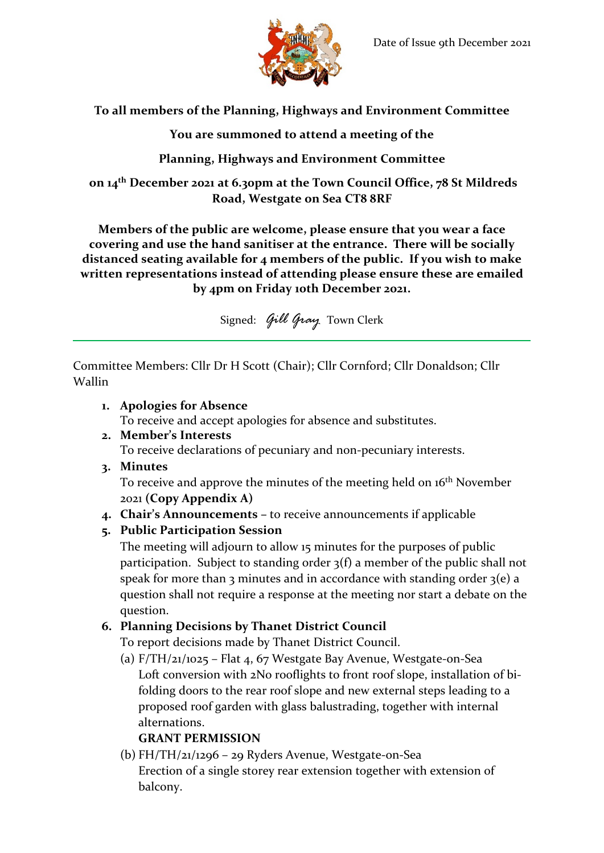

**To all members of the Planning, Highways and Environment Committee**

**You are summoned to attend a meeting of the**

**Planning, Highways and Environment Committee**

**on 14th December 2021 at 6.30pm at the Town Council Office, 78 St Mildreds Road, Westgate on Sea CT8 8RF**

**Members of the public are welcome, please ensure that you wear a face covering and use the hand sanitiser at the entrance. There will be socially distanced seating available for 4 members of the public. If you wish to make written representations instead of attending please ensure these are emailed by 4pm on Friday 10th December 2021.**

Signed: *Gill Gray* Town Clerk

Committee Members: Cllr Dr H Scott (Chair); Cllr Cornford; Cllr Donaldson; Cllr Wallin

- **1. Apologies for Absence** To receive and accept apologies for absence and substitutes.
- **2. Member's Interests** To receive declarations of pecuniary and non-pecuniary interests.
- **3. Minutes**

To receive and approve the minutes of the meeting held on 16<sup>th</sup> November 2021 **(Copy Appendix A)**

- **4. Chair's Announcements –** to receive announcements if applicable
- **5. Public Participation Session**

The meeting will adjourn to allow 15 minutes for the purposes of public participation. Subject to standing order 3(f) a member of the public shall not speak for more than 3 minutes and in accordance with standing order  $3(e)$  a question shall not require a response at the meeting nor start a debate on the question.

## **6. Planning Decisions by Thanet District Council**

To report decisions made by Thanet District Council.

(a)  $F/TH/21/1025$  – Flat 4, 67 Westgate Bay Avenue, Westgate-on-Sea Loft conversion with 2No rooflights to front roof slope, installation of bifolding doors to the rear roof slope and new external steps leading to a proposed roof garden with glass balustrading, together with internal alternations.

# **GRANT PERMISSION**

(b) FH/TH/21/1296 – 29 Ryders Avenue, Westgate-on-Sea Erection of a single storey rear extension together with extension of balcony.